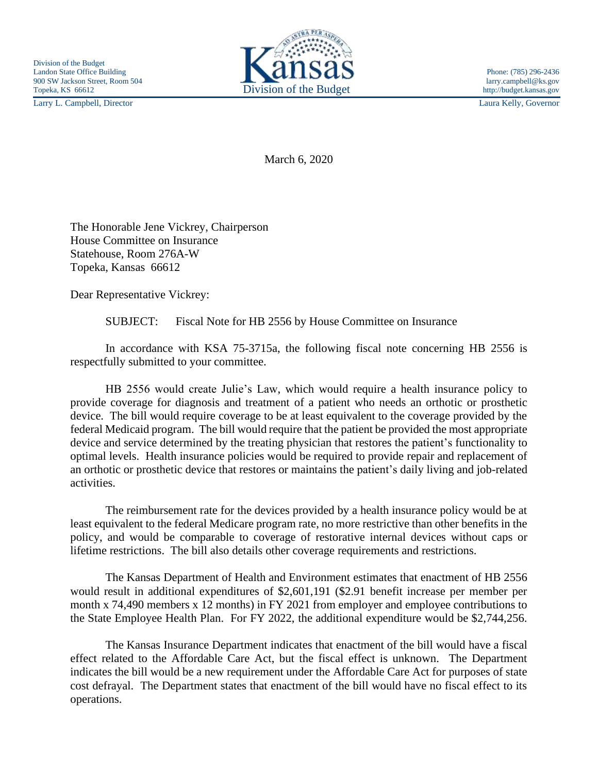Larry L. Campbell, Director Laura Kelly, Governor



March 6, 2020

The Honorable Jene Vickrey, Chairperson House Committee on Insurance Statehouse, Room 276A-W Topeka, Kansas 66612

Dear Representative Vickrey:

SUBJECT: Fiscal Note for HB 2556 by House Committee on Insurance

In accordance with KSA 75-3715a, the following fiscal note concerning HB 2556 is respectfully submitted to your committee.

HB 2556 would create Julie's Law, which would require a health insurance policy to provide coverage for diagnosis and treatment of a patient who needs an orthotic or prosthetic device. The bill would require coverage to be at least equivalent to the coverage provided by the federal Medicaid program. The bill would require that the patient be provided the most appropriate device and service determined by the treating physician that restores the patient's functionality to optimal levels. Health insurance policies would be required to provide repair and replacement of an orthotic or prosthetic device that restores or maintains the patient's daily living and job-related activities.

The reimbursement rate for the devices provided by a health insurance policy would be at least equivalent to the federal Medicare program rate, no more restrictive than other benefits in the policy, and would be comparable to coverage of restorative internal devices without caps or lifetime restrictions. The bill also details other coverage requirements and restrictions.

The Kansas Department of Health and Environment estimates that enactment of HB 2556 would result in additional expenditures of \$2,601,191 (\$2.91 benefit increase per member per month x 74,490 members x 12 months) in FY 2021 from employer and employee contributions to the State Employee Health Plan. For FY 2022, the additional expenditure would be \$2,744,256.

The Kansas Insurance Department indicates that enactment of the bill would have a fiscal effect related to the Affordable Care Act, but the fiscal effect is unknown. The Department indicates the bill would be a new requirement under the Affordable Care Act for purposes of state cost defrayal. The Department states that enactment of the bill would have no fiscal effect to its operations.